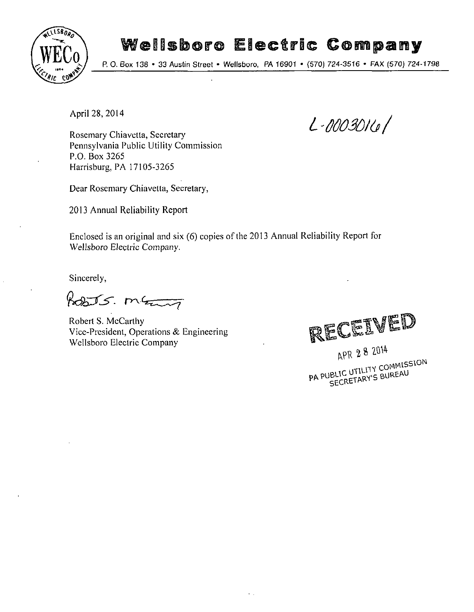

# Wellsboro Electric Company

P. 0. Box 138 • 33 Austin Street • Wellsboro, PA 16901 • (570) 724-3516 • FAX (570) 724-1798

April 28, 2014

Rosemary Chiavetta, Secretary Pennsylvania Public Utility Commission P.O. Box 3265 Harrisburg, PA 17105-3265

Dear Rosemary Chiavetta, Secretary,

2013 Annual Reliability Report

Enclosed is an original and six (6) copies of the 2013 Annual Reliability Report for Wellsboro Electric Company.

Sincerely,

Posts. many

Robert S. McCarthy<br>Vice-President, Operations & Engineering vice-richtent, operations & Engineering<br>Wellshoro Electric Company Wellsboro Electric Company



**L-0003010/** 

APR 2 8 2014<br>PA PUBLIC UTILITY COMMISSION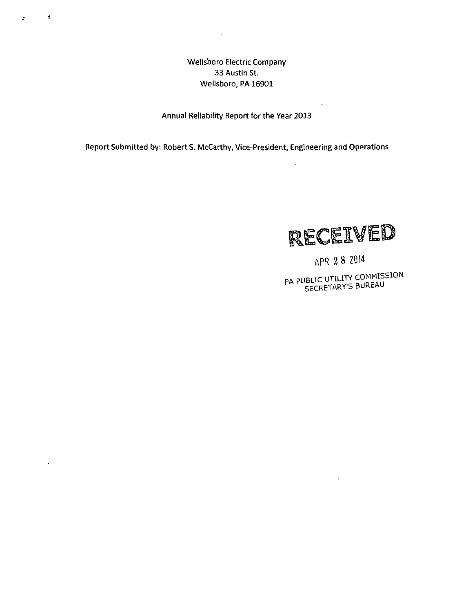Wellsboro Electric Company 33 Austin St. Wellsboro, PA 16901

 $\sim$ 

 $\bullet$ 

 $\hat{\mathbf{r}}$ 

 $\tilde{\mathcal{L}}$ 

Annual Reliability Report for the Year 2013

Report Submitted by: Robert S. McCarthy, Vice-President, Engineering and Operations



 $\mathcal{A}$ 

 $\bar{z}$ 

APR 2 8 2014

PA PUBLIC UTILITY COMMISSION SECRETARY'S BUREAU

 $\sim$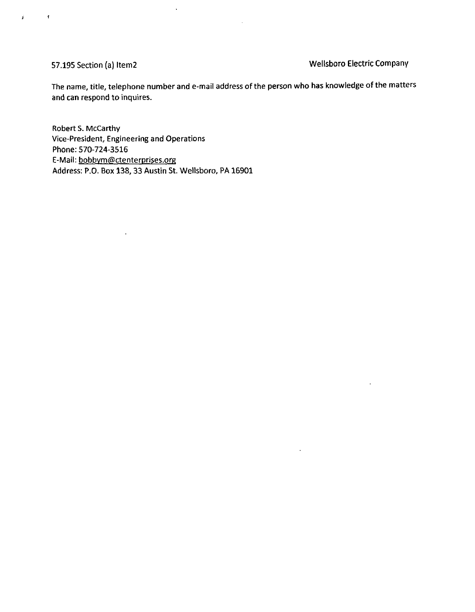Î.

 $\mathbf{r}$ 

57.195 Section (a) Item2 Wellsboro Electric Company

 $\ddot{\phantom{1}}$ 

 $\mathcal{A}^{\pm}$ 

The name, title, telephone number and e-mail address of the person who has knowledge of the matters and can respond to inquires.

Robert S. McCarthy Vice-President, Engineering and Operations Phone: 570-724-3516 E-Mail: bobbym@ctenterprises.org Address: P.O. Box 138, 33 Austin St. Wellsboro, PA 16901

 $\mathcal{L}^{\pm}$ 

 $\ddot{\phantom{a}}$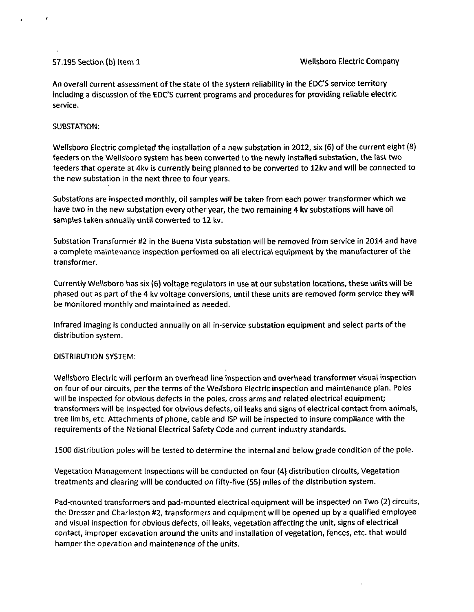An overall current assessment of the state of the system reliability in the EDC'S service territory including a discussion of the EDC'S current programs and procedures for providing reliable electric service.

### SUBSTATION:

Wellsboro Electric completed the installation of a new substation in 2012, six (6) of the current eight (8) feeders on the Wellsboro system has been converted to the newly installed substation, the last two feeders that operate at 4kv is currently being planned to be converted to 12kv and will be connected to the new substation in the next three to four years.

Substations are inspected monthly, oil samples will be taken from each power transformer which we have two in the new substation every other year, the two remaining 4 kv substations will have oil samples taken annually until converted to 12 kv.

Substation Transformer #2 in the Buena Vista substation will be removed from service in 2014 and have a complete maintenance inspection performed on all electrical equipment by the manufacturer of the transformer.

Currently Wellsboro has six (6) voltage regulators in use at our substation locations, these units will be phased out as part of the 4 kv voltage conversions, until these units are removed form service they will be monitored monthly and maintained as needed.

Infrared imaging is conducted annually on all in-service substation equipment and select parts of the distribution system.

### DISTRIBUTION SYSTEM:

Wellsboro Electric will perform an overhead line inspection and overhead transformer visual inspection on four of our circuits, per the terms ofthe Wellsboro Electric inspection and maintenance plan. Poles will be inspected for obvious defects in the poles, cross arms and related electrical equipment; transformers will be inspected for obvious defects, oil leaks and signs of electrical contact from animals, tree limbs, etc. Attachments of phone, cable and ISP will be inspected to insure compliance with the requirements of the National Electrical Safety Code and current industry standards.

1500 distribution poles will be tested to determine the internal and below grade condition of the pole.

Vegetation Management Inspections will be conducted on four (4) distribution circuits, Vegetation treatments and clearing will be conducted on fifty-five (55) miles ofthe distribution system.

Pad-mounted transformers and pad-mounted electrical equipment will be inspected on Two (2) circuits, the Dresser and Charleston #2, transformers and equipment will be opened up by a qualified employee and visual inspection for obvious defects, oil leaks, vegetation affecting the unit, signs of electrical contact, improper excavation around the units and installation of vegetation, fences, etc. that would hamper the operation and maintenance of the units.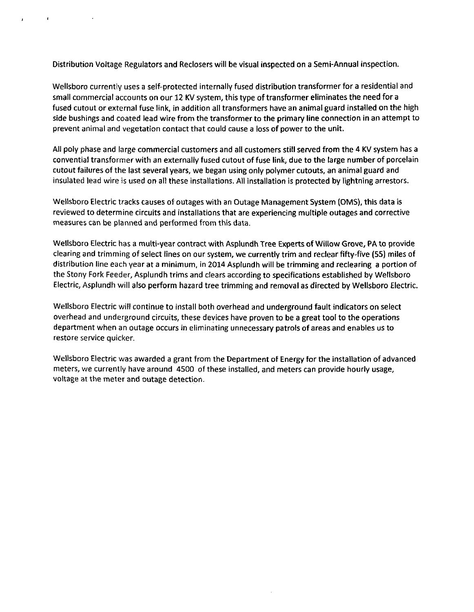Distribution Voltage Regulators and Reclosers will be visual inspected on a Semi-Annual inspection.

Wellsboro currently uses a self-protected internally fused distribution transformer for a residential and small commercial accounts on our 12 KV system, this type of transformer eliminates the need for a fused cutout or external fuse link, in addition all transformers have an animal guard installed on the high side bushings and coated lead wire from the transformer to the primary line connection in an attempt to prevent animal and vegetation contact that could cause a loss of power to the unit.

All poly phase and large commercial customers and all customers still served from the 4 KV system has a convential transformer with an externally fused cutout of fuse link, due to the large number of porcelain cutout failures of the last several years, we began using only polymer cutouts, an animal guard and insulated lead wire is used on all these installations. All installation is protected by lightning arresters.

Wellsboro Electric tracks causes of outages with an Outage Management System (OMS), this data is reviewed to determine circuits and installations that are experiencing multiple outages and corrective measures can be planned and performed from this data.

Wellsboro Electric has a multi-year contract with Asplundh Tree Experts of Willow Grove, PA to provide clearing and trimming of select lines on our system, we currently trim and reclear fifty-five (55) miles of distribution line each year at a minimum, in 2014 Asplundh will be trimming and reclearing a portion of the Stony Fork Feeder, Asplundh trims and clears according to specifications established by Wellsboro Electric, Asplundh will also perform hazard tree trimming and removal as directed by Wellsboro Electric.

Wellsboro Electric will continue to install both overhead and underground fault indicators on select overhead and underground circuits, these devices have proven to be a great tool to the operations department when an outage occurs in eliminating unnecessary patrols of areas and enables us to restore service quicker.

Wellsboro Electric was awarded a grant from the Department of Energy for the installation of advanced meters, we currently have around 4500 of these installed, and meters can provide hourly usage, voltage at the meter and outage detection.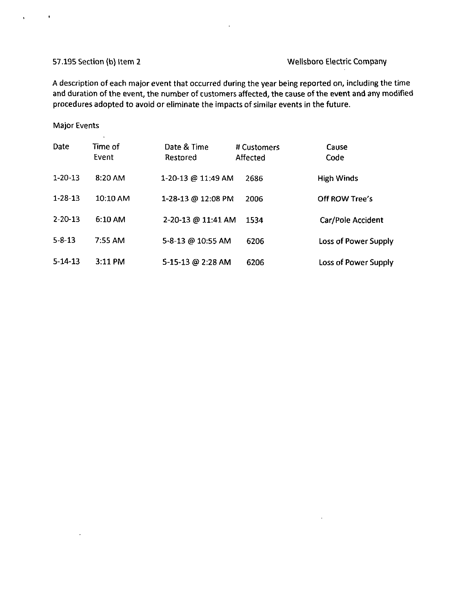$\ddot{\phantom{a}}$ 

# 57.195 Section (b) Item 2 Wellsboro Electric Company

 $\ddot{\phantom{a}}$ 

A description of each major event that occurred during the year being reported on, including the time and duration of the event, the number of customers affected, the cause of the event and any modified procedures adopted to avoid or eliminate the impacts of similar events in the future.

### Major Events

 $\lambda$ 

 $\bullet$ 

 $\mathbf{r}$ 

| Date          | Time of<br>Event | Date & Time<br>Restored       | # Customers<br>Affected | Cause<br>Code        |
|---------------|------------------|-------------------------------|-------------------------|----------------------|
| $1 - 20 - 13$ | 8:20 AM          | 1-20-13 @ 11:49 AM            | 2686                    | <b>High Winds</b>    |
| $1 - 28 - 13$ | 10:10 AM         | 1-28-13 @ 12:08 PM            | 2006                    | Off ROW Tree's       |
| $2 - 20 - 13$ | 6:10 AM          | $2 - 20 - 13 \omega 11.41$ AM | 1534                    | Car/Pole Accident    |
| $5 - 8 - 13$  | 7.55 AM          | 5-8-13 @ 10:55 AM             | 6206                    | Loss of Power Supply |
| $5 - 14 - 13$ | $3:11$ PM        | 5-15-13 @ 2:28 AM             | 6206                    | Loss of Power Supply |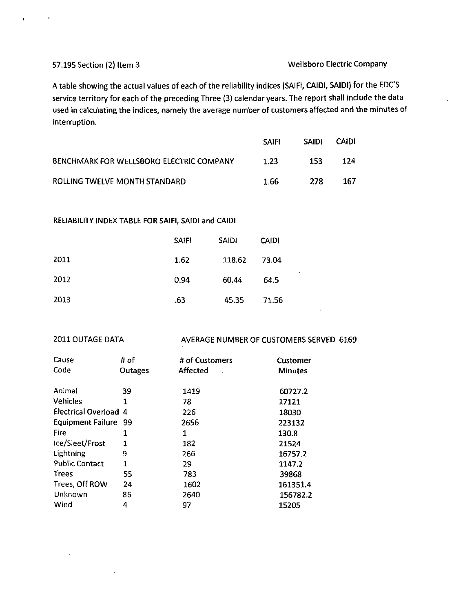## 57.195 Section (2) Item 3 Wellsboro Electric Company

A table showing the actual values of each of the reliability indices (SAIFI, CAIDI, SAIDI) for the EDC'S service territory for each of the preceding Three (3) calendar years. The report shall include the data used in calculating the indices, namely the average number of customers affected and the minutes of interruption.

|                                                 | <b>SAIFI</b> | <b>SAIDI</b> | <b>CAIDI</b> |
|-------------------------------------------------|--------------|--------------|--------------|
| <b>BENCHMARK FOR WELLSBORO ELECTRIC COMPANY</b> | 1.23         | 153          | 124          |
| ROLLING TWELVE MONTH STANDARD                   | 1.66         | 278          | 167          |

### RELIABILITY INDEX TABLE FOR SAIFI, SAIDI and CAIDI

|      | <b>SAIFI</b> | <b>SAIDI</b> | <b>CAIDI</b> |
|------|--------------|--------------|--------------|
| 2011 | 1.62         | 118.62       | 73.04        |
| 2012 | 0.94         | 60.44        | 64.5         |
| 2013 | .63          | 45.35        | 71.56        |

2011 OUTAGE DATA AVERAGE NUMBER OF CUSTOMERS SERVED 6169

| Cause                 | # of           | # of Customers  | Customer       |
|-----------------------|----------------|-----------------|----------------|
| Code                  | <b>Outages</b> | <b>Affected</b> | <b>Minutes</b> |
|                       |                |                 |                |
| Animal                | 39             | 1419            | 60727.2        |
| <b>Vehicles</b>       | 1              | 78              | 17121          |
| Electrical Overload 4 |                | 226             | 18030          |
| Equipment Failure 99  |                | 2656            | 223132         |
| Fire                  | 1              | 1               | 130.8          |
| Ice/Sleet/Frost       | 1              | 182             | 21524          |
| Lightning             | 9              | 266             | 16757.2        |
| <b>Public Contact</b> | 1              | 29              | 1147.2         |
| <b>Trees</b>          | 55             | 783             | 39868          |
| Trees, Off ROW        | 24             | 1602            | 161351.4       |
| Unknown               | 86             | 2640            | 156782.2       |
| Wind                  | 4              | 97              | 15205          |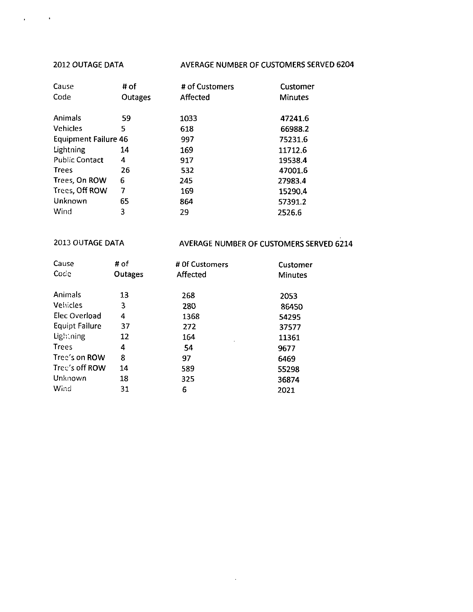$\bullet$ 

 $\ddot{\phantom{a}}$ 

# 2012 OUTAGE DATA AVERAGE NUMBER OF CUSTOMERS SERVED 6204

| Cause                       | # of    | # of Customers | Customer       |
|-----------------------------|---------|----------------|----------------|
| Code                        | Outages | Affected       | <b>Minutes</b> |
|                             |         |                |                |
| Animals                     | 59      | 1033           | 47241.6        |
| <b>Vehicles</b>             | 5       | 618            | 66988.2        |
| <b>Equipment Failure 46</b> |         | 997            | 75231.6        |
| Lightning                   | 14      | 169            | 11712.6        |
| <b>Public Contact</b>       | 4       | 917            | 19538.4        |
| <b>Trees</b>                | 26      | 532            | 47001.6        |
| Trees, On ROW               | 6       | 245            | 27983.4        |
| Trees, Off ROW              | 7       | 169            | 15290.4        |
| Unknown                     | 65      | 864            | 57391.2        |
| Wind                        | 3       | 29             | 2526.6         |

# 2013 OUTAGE DATA AVERAGE NUMBER OF CUSTOMERS SERVED 6214

| Cause                 | # of<br># Of Customers |          | Customer       |
|-----------------------|------------------------|----------|----------------|
| Code                  | Outages                | Affected | <b>Minutes</b> |
| Animals               | 13                     | 268      | 2053           |
| <b>Vehicles</b>       | 3                      | 280      | 86450          |
| Elec Overload         | 4                      | 1368     | 54295          |
| <b>Equipt Failure</b> | 37                     | 272      | 37577          |
| Lightning             | 12                     | 164      | 11361          |
| <b>Trees</b>          | 4                      | 54       | 9677           |
| Tree's on ROW         | 8                      | 97       | 6469           |
| Tree's off ROW        | 14                     | 589      | 55298          |
| Unknown               | 18                     | 325      | 36874          |
| Wind                  | 31                     | 6        | 2021           |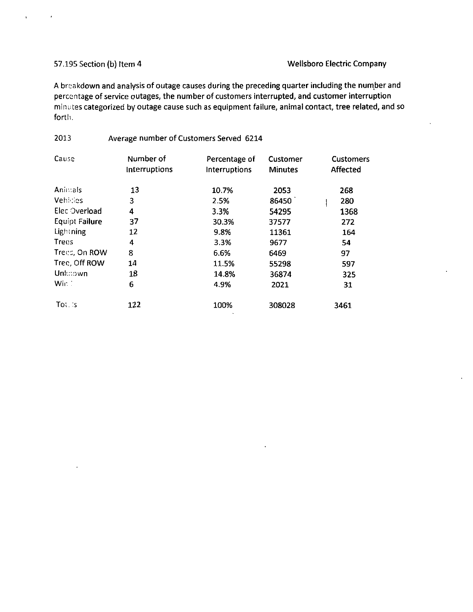# 57.195 Section (b) Item 4 Wellsboro Electric Company

A breakdown and analysis of outage causes during the preceding quarter including the number and percentage of service outages, the number of customers interrupted, and customer interruption minutes categorized by outage cause such as equipment failure, animal contact, tree related, and so forth.

# 2013 Average number of Customers Served 6214

| Cause                 | Number of<br>Interruptions | Percentage of<br>Interruptions | Customer<br><b>Minutes</b> | <b>Customers</b><br><b>Affected</b> |
|-----------------------|----------------------------|--------------------------------|----------------------------|-------------------------------------|
| Animals               | 13                         | 10.7%                          | 2053                       | 268                                 |
| Vehicles              | 3                          | 2.5%                           | 86450                      | 280                                 |
| Elec Overload         | 4                          | 3.3%                           | 54295                      | 1368                                |
| <b>Equipt Failure</b> | 37                         | 30.3%                          | 37577                      | 272                                 |
| Lightning             | 12                         | 9.8%                           | 11361                      | 164                                 |
| <b>Trecs</b>          | 4                          | 3.3%                           | 9677                       | 54                                  |
| Trees, On ROW         | 8                          | 6.6%                           | 6469                       | 97                                  |
| Trec, Off ROW         | 14                         | 11.5%                          | 55298                      | 597                                 |
| Unknown               | 18                         | 14.8%                          | 36874                      | 325                                 |
| Win.                  | 6                          | 4.9%                           | 2021                       | 31                                  |
| Tot.S                 | 122                        | 100%                           | 308028                     | 3461                                |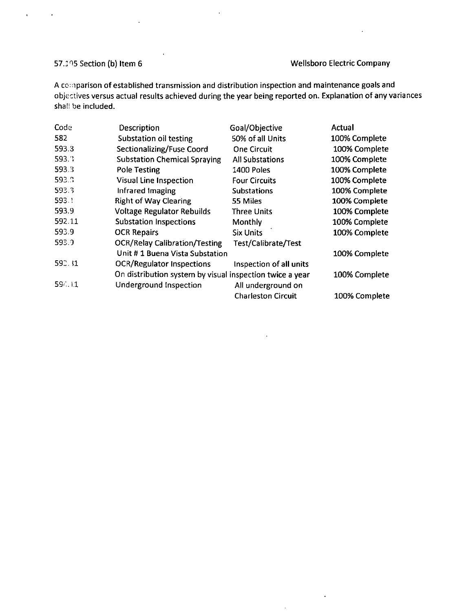$\ddot{\phantom{a}}$ 

 $\mathbf{v}$ 

 $\mathbf{r}$ 

57.: 15 Section (b) Item 6 Wellsboro Electric Company

 $\ddot{\phantom{a}}$ 

A cc:nparison of established transmission and distribution inspection and maintenance goals and objectives versus actual results achieved during the year being reported on. Explanation of any variances shall be included.

 $\hat{\mathbf{r}}$ 

| Code   | Description                                              | Goal/Objective            | Actual        |
|--------|----------------------------------------------------------|---------------------------|---------------|
| 582    | <b>Substation oil testing</b>                            | 50% of all Units          | 100% Complete |
| 593.3  | Sectionalizing/Fuse Coord                                | <b>One Circuit</b>        | 100% Complete |
| 593.3  | <b>Substation Chemical Spraying</b>                      | <b>All Substations</b>    | 100% Complete |
| 593.3  | <b>Pole Testing</b>                                      | 1400 Poles                | 100% Complete |
| 593.3  | Visual Line Inspection                                   | <b>Four Circuits</b>      | 100% Complete |
| 593.3  | Infrared Imaging                                         | <b>Substations</b>        | 100% Complete |
| 593.1  | <b>Right of Way Clearing</b>                             | 55 Miles                  | 100% Complete |
| 593.9  | <b>Voltage Regulator Rebuilds</b>                        | <b>Three Units</b>        | 100% Complete |
| 592.11 | <b>Substation Inspections</b>                            | Monthly                   | 100% Complete |
| 593.9  | <b>OCR Repairs</b>                                       | <b>Six Units</b>          | 100% Complete |
| 593.9  | <b>OCR/Relay Calibration/Testing</b>                     | Test/Calibrate/Test       |               |
|        | Unit #1 Buena Vista Substation                           |                           | 100% Complete |
| 592.31 | <b>OCR/Regulator Inspections</b>                         | Inspection of all units   |               |
|        | On distribution system by visual inspection twice a year |                           | 100% Complete |
| 5911   | Underground Inspection                                   | All underground on        |               |
|        |                                                          | <b>Charleston Circuit</b> | 100% Complete |

 $\bar{\lambda}$ 

 $\mathcal{A}$ 

 $\mathcal{L}$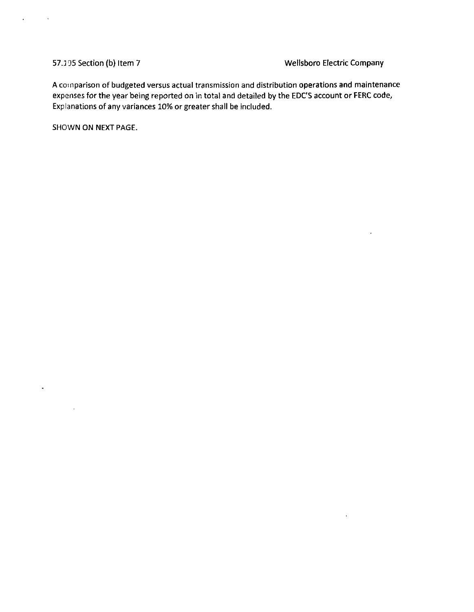$\ddot{\phantom{a}}$ 

 $\sigma^{\pm}$ 

t,

# 57.195 Section (b) Item 7 Wellsboro Electric Company

 $\overline{\phantom{a}}$ 

 $\mathcal{L}^{\pm}$ 

A comparison of budgeted versus actual transmission and distribution operations and maintenance expenses for the year being reported on in total and detailed by the EDC'S account or FERC code, Explanations of any variances 10% or greater shall be included.

SHOWN ON NEXT PAGE.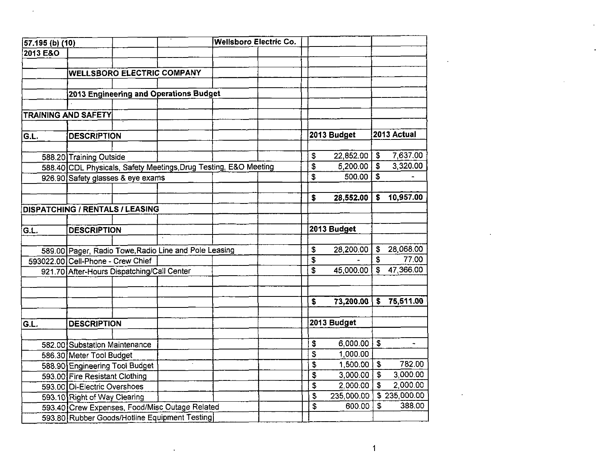| 57.195 (b) (10) |                                            |                                                       |                                                                  | <b>Wellsboro Electric Co.</b> |    |                       |                           |              |
|-----------------|--------------------------------------------|-------------------------------------------------------|------------------------------------------------------------------|-------------------------------|----|-----------------------|---------------------------|--------------|
| 2013 E&O        |                                            |                                                       |                                                                  |                               |    |                       |                           |              |
|                 |                                            |                                                       |                                                                  |                               |    |                       |                           |              |
|                 |                                            | <b>WELLSBORO ELECTRIC COMPANY</b>                     |                                                                  |                               |    |                       |                           |              |
|                 |                                            |                                                       |                                                                  |                               |    |                       |                           |              |
|                 |                                            | 2013 Engineering and Operations Budget                |                                                                  |                               |    |                       |                           |              |
|                 | <b>TRAINING AND SAFETY</b>                 |                                                       |                                                                  |                               |    |                       |                           |              |
|                 |                                            |                                                       |                                                                  |                               |    |                       |                           |              |
| G.L.            | <b>DESCRIPTION</b>                         |                                                       |                                                                  |                               |    | 2013 Budget           |                           | 2013 Actual  |
|                 |                                            |                                                       |                                                                  |                               |    |                       |                           |              |
|                 | 588.20 Training Outside                    |                                                       |                                                                  |                               | \$ | 22,852.00             | \$                        | 7,637.00     |
|                 |                                            |                                                       | 588.40 CDL Physicals, Safety Meetings, Drug Testing, E&O Meeting |                               | \$ | 5,200.00              | $\boldsymbol{\mathsf{s}}$ | 3,320.00     |
|                 | 926.90 Safety glasses & eye exams          |                                                       |                                                                  |                               | \$ | $500.00$ \$           |                           |              |
|                 |                                            |                                                       |                                                                  |                               |    |                       |                           |              |
|                 |                                            |                                                       |                                                                  |                               | \$ | 28,552.00             |                           | \$ 10,957.00 |
|                 | <b>DISPATCHING / RENTALS / LEASING</b>     |                                                       |                                                                  |                               |    |                       |                           |              |
|                 |                                            |                                                       |                                                                  |                               |    |                       |                           |              |
| GL.             | <b>DESCRIPTION</b>                         |                                                       |                                                                  |                               |    | 2013 Budget           |                           |              |
|                 |                                            | 589.00 Pager, Radio Towe, Radio Line and Pole Leasing |                                                                  |                               | \$ | 28,200.00             | $\mathbb{S}$              | 28,068.00    |
|                 | 593022.00 Cell-Phone - Crew Chief          |                                                       |                                                                  |                               | \$ |                       | \$                        | 77.00        |
|                 | 921.70 After-Hours Dispatching/Call Center |                                                       |                                                                  |                               | \$ | 45,000.00             | $\mathsf{S}$              | 47,366.00    |
|                 |                                            |                                                       |                                                                  |                               |    |                       |                           |              |
|                 |                                            |                                                       |                                                                  |                               |    |                       |                           |              |
|                 |                                            |                                                       |                                                                  |                               | \$ | 73,200.00             |                           | \$75,511.00  |
| G.L.            | <b>DESCRIPTION</b>                         |                                                       |                                                                  |                               |    | 2013 Budget           |                           |              |
|                 |                                            |                                                       |                                                                  |                               |    |                       |                           |              |
|                 | 582.00 Substation Maintenance              |                                                       |                                                                  |                               | \$ | $6,000.00$ \$         |                           | $\sim$       |
|                 | 586.30 Meter Tool Budget                   |                                                       |                                                                  |                               | \$ | 1,000.00              |                           |              |
|                 | 588.90 Engineering Tool Budget             |                                                       |                                                                  |                               | \$ | $1,500.00$   \$       |                           | 782.00       |
|                 | 593.00 Fire Resistant Clothing             |                                                       |                                                                  |                               | \$ | $3,000.00$ $\sqrt{5}$ |                           | 3,000.00     |
|                 | 593.00 Di-Electric Overshoes               |                                                       |                                                                  |                               | \$ | 2,000.00              | $\mathfrak{F}$            | 2,000.00     |
|                 | 593.10 Right of Way Clearing               |                                                       |                                                                  |                               | \$ | 235,000.00            |                           | \$235,000.00 |
|                 |                                            | 593.40 Crew Expenses, Food/Misc Outage Related        |                                                                  |                               | \$ | 600.00                | $\mathfrak{S}$            | 388.00       |
|                 |                                            | 593.80 Rubber Goods/Hotline Equipment Testing         |                                                                  |                               |    |                       |                           |              |

 $\mathcal{L}(\mathcal{L}(\mathcal{L}))$  . The set of  $\mathcal{L}(\mathcal{L})$  and  $\mathcal{L}(\mathcal{L}(\mathcal{L}))$ 

 $\mathcal{L}(\mathcal{L}^{\mathcal{L}})$  and  $\mathcal{L}^{\mathcal{L}}$ 

 $\sim 10^{-11}$ 

 $\mathcal{L}^{\mathcal{L}}(\mathcal{L}^{\mathcal{L}})$  and  $\mathcal{L}^{\mathcal{L}}(\mathcal{L}^{\mathcal{L}})$  . The contribution of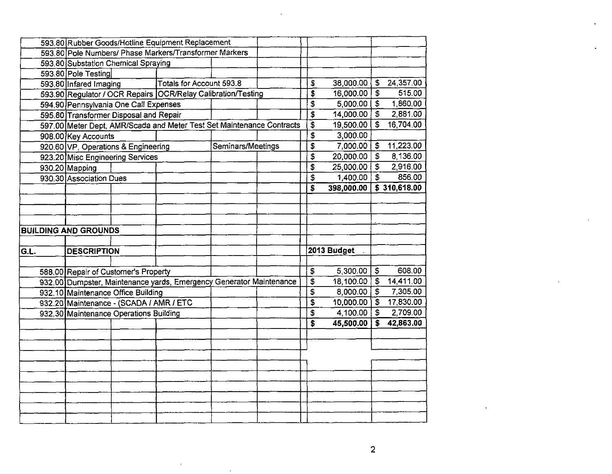|      |                                         |                                     | 593.80 Rubber Goods/Hotline Equipment Replacement                     |                   |  |  |                    |             |                            |              |
|------|-----------------------------------------|-------------------------------------|-----------------------------------------------------------------------|-------------------|--|--|--------------------|-------------|----------------------------|--------------|
|      |                                         |                                     | 593.80 Pole Numbers/ Phase Markers/Transformer Markers                |                   |  |  |                    |             |                            |              |
|      |                                         | 593.80 Substation Chemical Spraying |                                                                       |                   |  |  |                    |             |                            |              |
|      | 593.80 Pole Testing                     |                                     |                                                                       |                   |  |  |                    |             |                            |              |
|      | 593.80 Infared Imaging                  |                                     | Totals for Account 593.8                                              |                   |  |  | \$                 | 38,000.00   | \$                         | 24,357.00    |
|      |                                         |                                     | 593.90 Regulator / OCR Repairs OCR/Relay Calibration/Testing          |                   |  |  | \$                 | 16,000.00   | $\overline{\mathfrak{s}}$  | 515.00       |
|      | 594.90 Pennsylvania One Call Expenses   |                                     |                                                                       |                   |  |  | \$                 | 5,000.00    | \$                         | 1,860.00     |
|      | 595.80 Transformer Disposal and Repair  |                                     |                                                                       |                   |  |  | \$                 | 14,000.00   | $\overline{\mathfrak{s}}$  | 2,881.00     |
|      |                                         |                                     | 597.00 Meter Dept, AMR/Scada and Meter Test Set Maintenance Contracts |                   |  |  | \$                 | 19,500.00   |                            | 16,704.00    |
|      | 908.00 Key Accounts                     |                                     |                                                                       |                   |  |  | $\bar{\mathbf{s}}$ | 3,000.00    |                            |              |
|      | 920.60 VP, Operations & Engineering     |                                     |                                                                       | Seminars/Meetings |  |  | \$                 | 7,000.00    | \$                         | 11,223.00    |
|      | 923.20 Misc Engineering Services        |                                     |                                                                       |                   |  |  | \$                 | 20,000.00   | \$                         | 8,136.00     |
|      | 930.20 Mapping                          |                                     |                                                                       |                   |  |  | \$                 | 25,000.00   | \$                         | 2,916.00     |
|      | 930.30 Association Dues                 |                                     |                                                                       |                   |  |  | \$                 | 1,400.00    | $\ddot{\bm{s}}$            | 856.00       |
|      |                                         |                                     |                                                                       |                   |  |  | \$                 | 398,000.00  |                            | \$310,618.00 |
|      |                                         |                                     |                                                                       |                   |  |  |                    |             |                            |              |
|      |                                         |                                     |                                                                       |                   |  |  |                    |             |                            |              |
|      |                                         |                                     |                                                                       |                   |  |  |                    |             |                            |              |
|      | <b>BUILDING AND GROUNDS</b>             |                                     |                                                                       |                   |  |  |                    |             |                            |              |
|      |                                         |                                     |                                                                       |                   |  |  |                    |             |                            |              |
|      |                                         |                                     |                                                                       |                   |  |  |                    |             |                            |              |
| G.L. | <b>DESCRIPTION</b>                      |                                     |                                                                       |                   |  |  |                    | 2013 Budget |                            |              |
|      |                                         |                                     |                                                                       |                   |  |  |                    |             |                            |              |
|      | 588.00 Repair of Customer's Property    |                                     |                                                                       |                   |  |  | $\frac{1}{2}$      | 5,300.00    | $\boldsymbol{\mathsf{\$}}$ | 608.00       |
|      |                                         |                                     | 932.00 Dumpster, Maintenance yards, Emergency Generator Maintenance   |                   |  |  | \$                 | 18,100.00   | \$                         | 14,411.00    |
|      | 932.10 Maintenance Office Building      |                                     |                                                                       |                   |  |  | \$                 | 8,000.00    | $\overline{\mathbf{3}}$    | 7,305.00     |
|      | 932.20 Maintenance - (SCADA / AMR / ETC |                                     |                                                                       |                   |  |  | \$                 | 10,000.00   | $\overline{\mathbf{S}}$    | 17,830.00    |
|      | 932.30 Maintenance Operations Building  |                                     |                                                                       |                   |  |  | \$                 | 4,100.00    | $\bar{\bm{s}}$             | 2,709.00     |
|      |                                         |                                     |                                                                       |                   |  |  | \$                 | 45,500.00   | \$                         | 42,863.00    |
|      |                                         |                                     |                                                                       |                   |  |  |                    |             |                            |              |
|      |                                         |                                     |                                                                       |                   |  |  |                    |             |                            |              |
|      |                                         |                                     |                                                                       |                   |  |  |                    |             |                            |              |
|      |                                         |                                     |                                                                       |                   |  |  |                    |             |                            |              |
|      |                                         |                                     |                                                                       |                   |  |  |                    |             |                            |              |
|      |                                         |                                     |                                                                       |                   |  |  |                    |             |                            |              |
|      |                                         |                                     |                                                                       |                   |  |  |                    |             |                            |              |
|      |                                         |                                     |                                                                       |                   |  |  |                    |             |                            |              |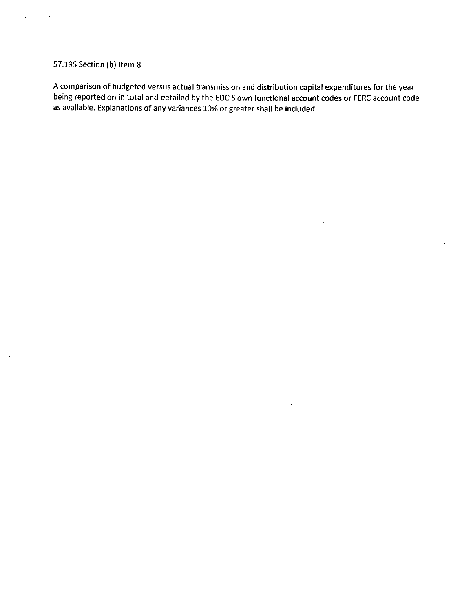## 57.195 Section (b) Item 8

 $\ddot{\phantom{0}}$ 

 $\overline{\phantom{a}}$ 

A comparison of budgeted versus actual transmission and distribution capital expenditures for the year being reported on in total and detailed by the EDCS own functional account codes or FERC account code as available. Explanations of any variances 10% or greater shall be included.

 $\ddot{\phantom{a}}$ 

 $\ddot{\phantom{0}}$ 

 $\Delta \phi = 0.01$  and  $\Delta \phi$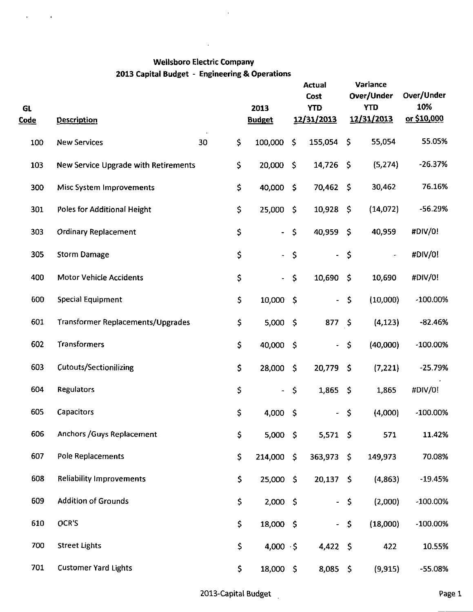$\mathcal{L}^{\pm}$ 

 $\langle \rangle$ 

 $\sim 10$ 

| GL<br><u>Code</u> | <b>Description</b>                   |          |     | 2013<br><b>Budget</b>    |                     | <b>Actual</b><br>Cost<br><b>YTD</b><br>12/31/2013 |                     | Variance<br>Over/Under<br><b>YTD</b><br>12/31/2013 | Over/Under<br>10%<br>or \$10,000 |
|-------------------|--------------------------------------|----------|-----|--------------------------|---------------------|---------------------------------------------------|---------------------|----------------------------------------------------|----------------------------------|
| 100               | <b>New Services</b>                  | \$<br>30 |     | 100,000                  | \$                  | 155,054                                           | \$                  | 55,054                                             | 55.05%                           |
| 103               | New Service Upgrade with Retirements | \$       |     | 20,000                   | $\zeta$             | 14,726 \$                                         |                     | (5, 274)                                           | $-26.37%$                        |
| 300               | Misc System Improvements             |          | \$  | 40,000                   | $\mathsf{S}$        | 70,462                                            | - \$                | 30,462                                             | 76.16%                           |
| 301               | Poles for Additional Height          |          | \$  | 25,000                   | -\$                 | $10,928$ \$                                       |                     | (14, 072)                                          | $-56.29%$                        |
| 303               | <b>Ordinary Replacement</b>          | \$       |     | $\blacksquare$           | $\zeta$             | 40,959                                            | -\$                 | 40,959                                             | #DIV/0!                          |
| 305               | <b>Storm Damage</b>                  |          | \$  | $\frac{1}{2}$            | $\varsigma$         | $\blacksquare$                                    | $\zeta$             |                                                    | #DIV/0!                          |
| 400               | <b>Motor Vehicle Accidents</b>       |          | \$  | $\blacksquare$           | $\mathsf{S}$        | 10,690                                            | $\zeta$             | 10,690                                             | #DIV/0!                          |
| 600               | Special Equipment                    |          | \$  | 10,000                   | $\mathsf{S}$        | $\overline{\phantom{a}}$                          | \$                  | (10,000)                                           | $-100.00\%$                      |
| 601               | Transformer Replacements/Upgrades    |          | \$  | $5,000$ \$               |                     | 877 \$                                            |                     | (4, 123)                                           | $-82.46%$                        |
| 602               | Transformers                         |          | \$  | 40,000                   | $\ddot{\bm{\zeta}}$ | $\blacksquare$                                    | \$                  | (40,000)                                           | $-100.00\%$                      |
| 603               | <b>Cutouts/Sectionilizing</b>        |          | \$  | 28,000                   | -S                  | 20,779                                            | - \$                | (7, 221)                                           | $-25.79%$                        |
| 604               | <b>Regulators</b>                    |          | \$  | $\overline{\phantom{a}}$ | \$                  | 1,865                                             | $\ddot{\mathsf{s}}$ | 1,865                                              | #DIV/0!                          |
| 605               | Capacitors                           |          | \$  | 4,000                    | $\mathsf{S}$        | ٠                                                 | \$                  | (4,000)                                            | $-100.00\%$                      |
| 606               | Anchors / Guys Replacement           |          | \$  | $5,000$ \$               |                     | $5,571$ \$                                        |                     | 571                                                | 11.42%                           |
| 607               | Pole Replacements                    |          | \$  | 214,000 \$               |                     | 363,973 \$                                        |                     | 149,973                                            | 70.08%                           |
| 608               | <b>Reliability Improvements</b>      |          | \$  | 25,000 \$                |                     | $20,137$ \$                                       |                     | (4, 863)                                           | $-19.45%$                        |
| 609               | <b>Addition of Grounds</b>           |          | \$  | $2,000$ \$               |                     | $\blacksquare$                                    | \$                  | (2,000)                                            | $-100.00\%$                      |
| 610               | OCR'S                                |          | \$  | 18,000 \$                |                     | $\omega$                                          | $\ddot{\bm{\zeta}}$ | (18,000)                                           | $-100.00\%$                      |
| 700               | <b>Street Lights</b>                 |          | \$  | 4,000 $\cdot$ \$         |                     | $4,422$ \$                                        |                     | 422                                                | 10.55%                           |
| 701               | <b>Customer Yard Lights</b>          |          | \$. | 18,000 \$                |                     | $8,085$ \$                                        |                     | (9, 915)                                           | -55.08%                          |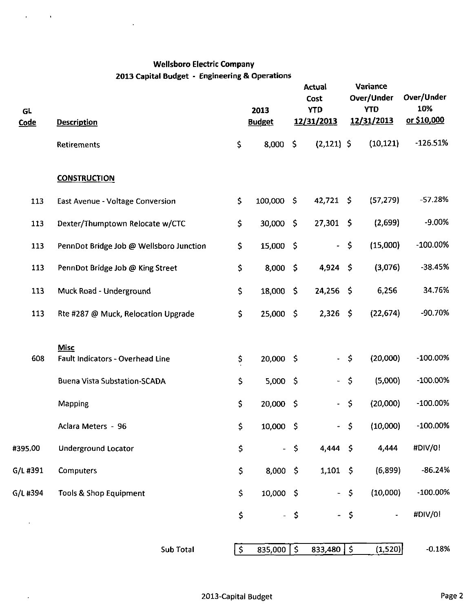$\ddot{\phantom{0}}$ 

 $\mathcal{L}$ 

 $\hat{\mathbf{r}}$ 

 $\mathcal{A}$ 

| GL<br><b>Code</b> |                                         |              |                       |      | 2013<br><b>Budget</b><br><b>Description</b> |             |           |             | <b>Actual</b><br>Cost<br><b>YTD</b><br>12/31/2013 |  | Variance<br>Over/Under<br><b>YTD</b><br>12/31/2013 | Over/Under<br>10%<br>or \$10,000 |  |
|-------------------|-----------------------------------------|--------------|-----------------------|------|---------------------------------------------|-------------|-----------|-------------|---------------------------------------------------|--|----------------------------------------------------|----------------------------------|--|
|                   | Retirements                             | \$           | 8,000                 | \$   | $(2,121)$ \$                                |             | (10, 121) | $-126.51%$  |                                                   |  |                                                    |                                  |  |
|                   | <b>CONSTRUCTION</b>                     |              |                       |      |                                             |             |           |             |                                                   |  |                                                    |                                  |  |
| 113               | East Avenue - Voltage Conversion        | $\mathsf{S}$ | 100,000 \$            |      | $42,721$ \$                                 |             | (57, 279) | $-57.28%$   |                                                   |  |                                                    |                                  |  |
| 113               | Dexter/Thumptown Relocate w/CTC         | \$           | 30,000 \$             |      | $27,301$ \$                                 |             | (2,699)   | -9.00%      |                                                   |  |                                                    |                                  |  |
| 113               | PennDot Bridge Job @ Wellsboro Junction | \$           | 15,000 \$             |      | $\mathbb{Z}^{\mathbb{Z}}$                   | \$          | (15,000)  | $-100.00\%$ |                                                   |  |                                                    |                                  |  |
| 113               | PennDot Bridge Job @ King Street        | \$           | $8,000$ \$            |      | $4,924$ \$                                  |             | (3,076)   | $-38.45%$   |                                                   |  |                                                    |                                  |  |
| 113               | Muck Road - Underground                 | \$           | 18,000 \$             |      | $24,256$ \$                                 |             | 6,256     | 34.76%      |                                                   |  |                                                    |                                  |  |
| 113               | Rte #287 @ Muck, Relocation Upgrade     | \$           | $25,000$ \$           |      | $2,326$ \$                                  |             | (22, 674) | -90.70%     |                                                   |  |                                                    |                                  |  |
|                   | <b>Misc</b>                             |              |                       |      |                                             |             |           |             |                                                   |  |                                                    |                                  |  |
| 608               | Fault Indicators - Overhead Line        | \$           | $20,000$ \$           |      | ÷.                                          | \$          | (20,000)  | $-100.00\%$ |                                                   |  |                                                    |                                  |  |
|                   | <b>Buena Vista Substation-SCADA</b>     | \$           | $5,000$ \$            |      | ÷,                                          | $\zeta$     | (5,000)   | $-100.00%$  |                                                   |  |                                                    |                                  |  |
|                   | Mapping                                 | \$           | $20,000$ \$           |      | $\blacksquare$                              | \$          | (20,000)  | $-100.00\%$ |                                                   |  |                                                    |                                  |  |
|                   | Aclara Meters - 96                      | \$           | $10,000$ \$           |      | $\blacksquare$                              | \$          | (10,000)  | $-100.00\%$ |                                                   |  |                                                    |                                  |  |
| #395.00           | Underground Locator                     | \$           |                       | \$   | $4.444 \div$                                |             | 4,444     | #DIV/0!     |                                                   |  |                                                    |                                  |  |
| G/L #391          | Computers                               | \$           | $8,000$ \$            |      | $1,101$ \$                                  |             | (6,899)   | $-86.24%$   |                                                   |  |                                                    |                                  |  |
| G/L#394           | Tools & Shop Equipment                  | \$           | $10,000$ \$           |      | $\omega_{\rm c}$                            | $\varsigma$ | (10,000)  | $-100.00%$  |                                                   |  |                                                    |                                  |  |
|                   |                                         | \$           |                       | - \$ |                                             | - \$        |           | #DIV/0!     |                                                   |  |                                                    |                                  |  |
|                   | Sub Total                               | $\zeta$      | 835,000 $\frac{1}{2}$ |      | 833,480                                     | $\zeta$     | (1,520)   | $-0.18%$    |                                                   |  |                                                    |                                  |  |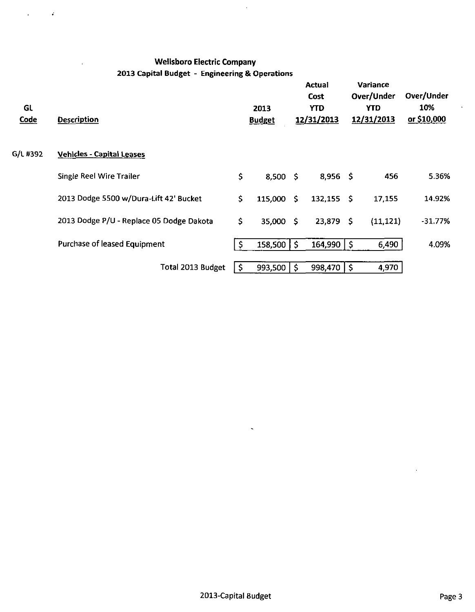$\Delta \sim 10^{11}$  MeV

 $\bar{.}$ 

| <b>GL</b><br><b>Code</b> | <b>Description</b>                       |              | 2013<br><b>Budget</b> | <b>Actual</b><br>Cost<br>YTD.<br>12/31/2013 | Variance<br>Over/Under<br>YTD.<br>12/31/2013 | Over/Under<br>10%<br>or \$10,000 |
|--------------------------|------------------------------------------|--------------|-----------------------|---------------------------------------------|----------------------------------------------|----------------------------------|
| G/L #392                 | <b>Vehicles - Capital Leases</b>         |              |                       |                                             |                                              |                                  |
|                          | Single Reel Wire Trailer                 | $\mathsf{S}$ | $8,500$ \$            | $8,956$ \$                                  | 456                                          | 5.36%                            |
|                          | 2013 Dodge 5500 w/Dura-Lift 42' Bucket   | \$.          | 115,000 \$            | $132,155$ \$                                | 17,155                                       | 14.92%                           |
|                          | 2013 Dodge P/U - Replace 05 Dodge Dakota | \$           | 35,000 \$             | $23,879$ \$                                 | (11, 121)                                    | $-31.77%$                        |
|                          | Purchase of leased Equipment             | S.           | $158,500$   \$        | $164,990$   \$                              | 6,490                                        | 4.09%                            |
|                          | Total 2013 Budget                        | $\mathsf{S}$ | $993,500$   \$        | $998,470$   \$                              | 4,970                                        |                                  |
|                          |                                          |              |                       |                                             |                                              |                                  |

 $\hat{\mathcal{L}}$ 

 $\ddot{\phantom{1}}$ 

 $\hat{\mathbf{r}}$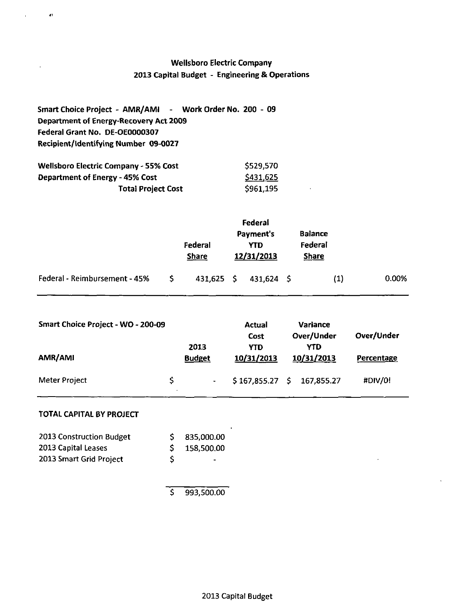| Smart Choice Project - AMR/AMI - Work Order No. 200 - 09 |  |
|----------------------------------------------------------|--|
| Department of Energy-Recovery Act 2009                   |  |
| Federal Grant No. DE-OE0000307                           |  |
| Recipient/Identifying Number 09-0027                     |  |

| <b>Wellsboro Electric Company - 55% Cost</b> | \$529,570 |
|----------------------------------------------|-----------|
| <b>Department of Energy - 45% Cost</b>       | S431,625  |
| <b>Total Project Cost</b>                    | \$961,195 |

|                               |     | Federal<br><b>Share</b> | Federal<br><b>Payment's</b><br><b>YTD</b><br>12/31/2013 | <b>Balance</b><br>Federal<br><b>Share</b> |     |       |
|-------------------------------|-----|-------------------------|---------------------------------------------------------|-------------------------------------------|-----|-------|
| Federal - Reimbursement - 45% | -S. | 431,625 \$              | 431,624 \$                                              |                                           | (1) | 0.00% |

 $\bar{\epsilon}$ 

| Smart Choice Project - WO - 200-09 |    | 2013          | Actual<br>Cost<br><b>YTD</b><br>10/31/2013 |  | <b>Variance</b><br>Over/Under<br>YTD | Over/Under<br>Percentage |  |
|------------------------------------|----|---------------|--------------------------------------------|--|--------------------------------------|--------------------------|--|
| AMR/AMI                            |    | <b>Budget</b> |                                            |  | 10/31/2013                           |                          |  |
| <b>Meter Project</b>               | S. |               | $$167,855.27$ \$ 167,855.27                |  |                                      | #DIV/0!                  |  |

## **TOTAL CAPITAL BY PROJECT**

 $\bullet$ 

| 2013 Construction Budget |   | \$35,000.00    |
|--------------------------|---|----------------|
| 2013 Capital Leases      |   | \$158,500.00   |
| 2013 Smart Grid Project  | S | $\blacksquare$ |

 $\overline{$}$  993,500.00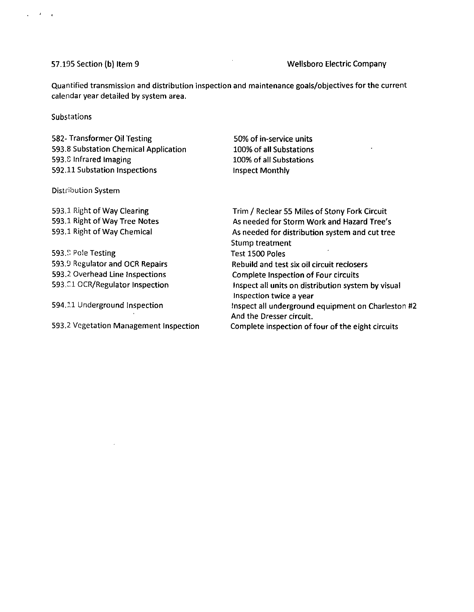### 57.195 Section (b) Item 9 Wellsboro Electric Company

Quantified transmission and distribution inspection and maintenance goals/objectives for the current calendar year detailed by system area.

### **Substations**

 $\mathcal{L} = \mathcal{L} = \mathcal{L}$ 

582- Transformer Oil Testing 593.8 Substation Chemical Application 593.S Infrared Imaging 592.11 Substation Inspections

50% of in-service units 100% of all Substations 100% of all Substations Inspect Monthly

### Distribution System

593.1 Right of Way Clearing 593.1 Right of Way Tree Notes 593.1 Right of Way Chemical

593.<sup>9</sup> Pole Testing 593.9 Regulator and OCR Repairs 593.2 Overhead Line Inspections 593.01 OCR/Regulator Inspection

594.11 Underground Inspection

593.2 Vegetation Management Inspection

Trim / Reclear 55 Miles of Stony Fork Circuit As needed for Storm Work and Hazard Tree's As needed for distribution system and cut tree Stump treatment  $\overline{\phantom{a}}$ Test 1500 Poles Rebuild and test six oil circuit reclosers Complete Inspection of Four circuits Inspect all units on distribution system by visual Inspection twice a year inspect all underground equipment on Charleston #2 And the Dresser circuit.

Complete inspection of four of the eight circuits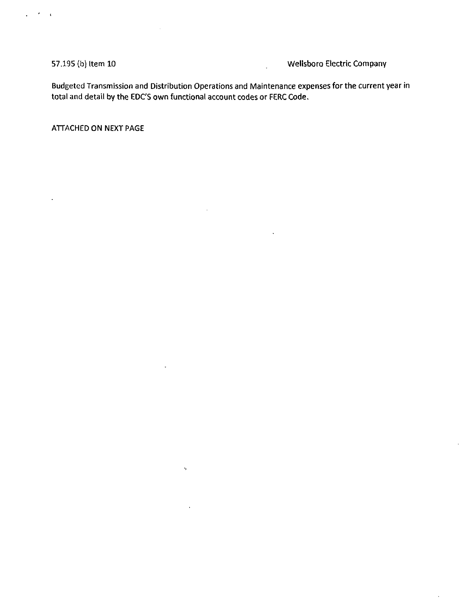$\mathcal{F} \subset \mathcal{F}$  $\ddot{\phantom{a}}$ 

 $\ddot{\phantom{a}}$ 

57.195 (b) Item 10 Wellsboro Electric Company

Budgeted Transmission and Distribution Operations and Maintenance expenses for the current year in total and detail by the EDC'S own functional account codes or FERC Code.

 $\ddot{\phantom{a}}$ 

 $\bar{\nu}$ 

ATTACHED ON NEXT PAGE

 $\bar{z}$ 

 $\sim$ 

 $\ddot{\psi}$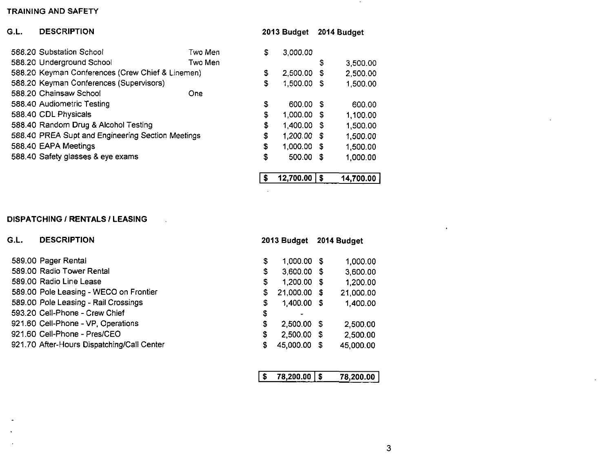| G.L. | <b>DESCRIPTION</b>                                |         |    | 2013 Budget |      | 2014 Budget |
|------|---------------------------------------------------|---------|----|-------------|------|-------------|
|      | 588.20 Substation School                          | Two Men | \$ | 3,000.00    |      |             |
|      | 588.20 Underground School                         | Two Men |    |             | \$   | 3,500.00    |
|      | 588.20 Keyman Conferences (Crew Chief & Linemen)  |         | \$ | 2,500.00    | S    | 2,500.00    |
|      | 588.20 Keyman Conferences (Supervisors)           |         | \$ | 1,500.00    | S    | 1,500.00    |
|      | 588.20 Chainsaw School                            | One     |    |             |      |             |
|      | 588.40 Audiometric Testing                        |         | \$ | 600.00 \$   |      | 600.00      |
|      | 588.40 CDL Physicals                              |         | \$ | 1,000.00    | - 5  | 1,100.00    |
|      | 588.40 Random Drug & Alcohol Testing              |         | \$ | 1,400.00    | - 35 | 1,500.00    |
|      | 588.40 PREA Supt and Engineering Section Meetings |         | \$ | 1,200.00    | - 36 | 1,500.00    |
|      | 588.40 EAPA Meetings                              |         | \$ | 1,000.00 \$ |      | 1,500.00    |
|      | 588.40 Safety glasses & eye exams                 |         | \$ | 500.00      | £.   | 1,000.00    |
|      |                                                   |         | S  | 12,700.00   | S    | 14,700.00   |

# **DISPATCHING / RENTALS / LEASING**

| G.L. | <b>DESCRIPTION</b>                         |    | 2013 Budget   | 2014 Budget |           |  |
|------|--------------------------------------------|----|---------------|-------------|-----------|--|
|      | 589.00 Pager Rental                        | \$ | 1,000.00 \$   |             | 1,000.00  |  |
|      | 589.00 Radio Tower Rental                  | \$ | 3,600.00 \$   |             | 3,600.00  |  |
|      | 589.00 Radio Line Lease                    | \$ | 1,200.00 \$   |             | 1,200.00  |  |
|      | 589.00 Pole Leasing - WECO on Frontier     | \$ | 21,000.00 \$  |             | 21,000.00 |  |
|      | 589.00 Pole Leasing - Rail Crossings       | \$ | 1,400.00 \$   |             | 1,400.00  |  |
|      | 593.20 Cell-Phone - Crew Chief             | \$ |               |             |           |  |
|      | 921.60 Cell-Phone - VP, Operations         | \$ | 2,500.00 \$   |             | 2,500.00  |  |
|      | 921.60 Cell-Phone - Pres/CEO               | \$ | $2,500.00$ \$ |             | 2,500.00  |  |
|      | 921.70 After-Hours Dispatching/Call Center | S. | 45,000.00     | S           | 45,000.00 |  |
|      |                                            |    |               |             |           |  |

 $\mathcal{L}$ 

| 78.200.00   \$ | 78,200.00 |
|----------------|-----------|
|                |           |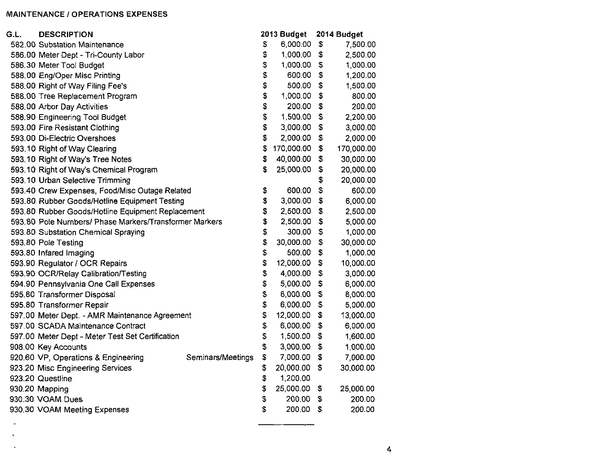### MAINTENANCE / OPERATIONS EXPENSES

 $\ddot{\phantom{a}}$ 

| G.L. | <b>DESCRIPTION</b>                                     |                   |    | 2013 Budget | 2014 Budget |            |  |
|------|--------------------------------------------------------|-------------------|----|-------------|-------------|------------|--|
|      | 582.00 Substation Maintenance                          |                   | S  | 6,000.00    | \$          | 7,500.00   |  |
|      | 586.00 Meter Dept - Tri-County Labor                   |                   | \$ | 1,000.00    | \$          | 2,500.00   |  |
|      | 586.30 Meter Tool Budget                               |                   | \$ | 1,000.00    | \$          | 1,000.00   |  |
|      | 588.00 Eng/Oper Misc Printing                          |                   | \$ | 600.00      | \$          | 1,200.00   |  |
|      | 588.00 Right of Way Filing Fee's                       |                   | \$ | 500.00      | \$          | 1,500.00   |  |
|      | 588.00 Tree Replacement Program                        |                   | \$ | 1,000.00    | \$          | 800.00     |  |
|      | 588.00 Arbor Day Activities                            |                   | \$ | 200.00      | \$          | 200.00     |  |
|      | 588.90 Engineering Tool Budget                         |                   | \$ | 1,500.00    | \$          | 2,200.00   |  |
|      | 593.00 Fire Resistant Clothing                         |                   | \$ | 3,000.00    | \$          | 3,000.00   |  |
|      | 593.00 Di-Electric Overshoes                           |                   | \$ | 2,000.00    | \$          | 2,000.00   |  |
|      | 593.10 Right of Way Clearing                           |                   | \$ | 170,000.00  | \$          | 170,000.00 |  |
|      | 593.10 Right of Way's Tree Notes                       |                   | \$ | 40,000.00   | \$          | 30,000.00  |  |
|      | 593.10 Right of Way's Chemical Program                 |                   | \$ | 25,000.00   | \$          | 20,000.00  |  |
|      | 593.10 Urban Selective Trimming                        |                   |    |             | \$          | 20,000.00  |  |
|      | 593.40 Crew Expenses, Food/Misc Outage Related         |                   | \$ | 600.00      | \$          | 600.00     |  |
|      | 593.80 Rubber Goods/Hotline Equipment Testing          |                   | \$ | 3,000.00    | \$          | 6,000.00   |  |
|      | 593.80 Rubber Goods/Hotline Equipment Replacement      |                   | \$ | 2,500.00    | \$          | 2,500.00   |  |
|      | 593.80 Pole Numbers/ Phase Markers/Transformer Markers |                   | \$ | 2,500.00    | \$          | 5,000.00   |  |
|      | 593.80 Substation Chemical Spraying                    |                   | \$ | 300.00      | \$          | 1,000.00   |  |
|      | 593.80 Pole Testing                                    |                   | \$ | 30,000.00   | \$          | 30,000.00  |  |
|      | 593.80 Infared Imaging                                 |                   | \$ | 500.00      | \$          | 1,000.00   |  |
|      | 593.90 Regulator / OCR Repairs                         |                   | \$ | 12,000.00   | \$          | 10,000.00  |  |
|      | 593.90 OCR/Relay Calibration/Testing                   |                   | \$ | 4,000.00    | \$          | 3,000.00   |  |
|      | 594.90 Pennsylvania One Call Expenses                  |                   | \$ | 5,000.00    | \$          | 6,000.00   |  |
|      | 595.80 Transformer Disposal                            |                   | \$ | 8,000.00    | \$          | 8,000.00   |  |
|      | 595.80 Transformer Repair                              |                   | \$ | 6,000.00    | \$          | 5,000.00   |  |
|      | 597.00 Meter Dept. - AMR Maintenance Agreement         |                   | \$ | 12,000.00   | \$          | 13,000.00  |  |
|      | 597.00 SCADA Maintenance Contract                      |                   | \$ | 6,000.00    | \$          | 6,000.00   |  |
|      | 597.00 Meter Dept - Meter Test Set Certification       |                   | \$ | 1,500.00    | \$          | 1,600.00   |  |
|      | 908.00 Key Accounts                                    |                   | \$ | 3,000.00    | \$          | 1,000.00   |  |
|      | 920.60 VP, Operations & Engineering                    | Seminars/Meetings | \$ | 7,000.00    | \$          | 7,000.00   |  |
|      | 923.20 Misc Engineering Services                       |                   | \$ | 20,000.00   | \$          | 30,000.00  |  |
|      | 923.20 Questline                                       |                   | \$ | 1,200.00    |             |            |  |
|      | 930.20 Mapping                                         |                   | \$ | 25,000.00   | \$          | 25,000.00  |  |
|      | 930.30 VOAM Dues                                       |                   | \$ | 200.00      | \$          | 200.00     |  |
|      | 930.30 VOAM Meeting Expenses                           |                   | \$ | 200.00      | \$          | 200.00     |  |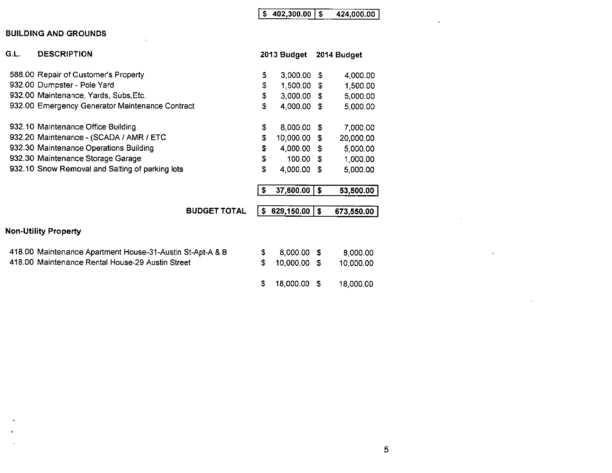# $\sqrt{$  \$ 402,300.00  $\sqrt{}$  \$ 424,000.00

### **BUILDING AND GROUNDS**

| G.L. | <b>DESCRIPTION</b>                                        |    | 2013 Budget |      | 2014 Budget |
|------|-----------------------------------------------------------|----|-------------|------|-------------|
|      | 588.00 Repair of Customer's Property                      | \$ | 3,000.00    | \$   | 4,000.00    |
|      | 932.00 Dumpster - Pole Yard                               | \$ | 1,500.00    | \$   | 1,500.00    |
|      | 932.00 Maintenance, Yards, Subs, Etc.                     | \$ | 3,000.00    | S.   | 5,000.00    |
|      | 932.00 Emergency Generator Maintenance Contract           | S  | 4,000.00    | \$   | 5,000.00    |
|      | 932.10 Maintenance Office Building                        | \$ | 8,000.00    | S    | 7,000.00    |
|      | 932.20 Maintenance - (SCADA / AMR / ETC                   | \$ | 10,000.00   | \$   | 20,000.00   |
|      | 932.30 Maintenance Operations Building                    | \$ | 4,000.00 \$ |      | 5,000.00    |
|      | 932.30 Maintenance Storage Garage                         | S  | 100.00      | - \$ | 1,000.00    |
|      | 932.10 Snow Removal and Salting of parking lots           | \$ | 4,000.00    | \$   | 5,000.00    |
|      |                                                           | \$ | 37,600.00   | \$   | 53,500.00   |
|      | <b>BUDGET TOTAL</b>                                       | S. | 629,150.00  | s.   | 673,550.00  |
|      | <b>Non-Utility Property</b>                               |    |             |      |             |
|      | 418.00 Maintenance Apartment House-31-Austin St-Apt-A & B | \$ | 8,000.00    | S    | 8,000.00    |
|      | 418.00 Maintenance Rental House-29 Austin Street          | S  | 10,000.00   | -S   | 10,000.00   |
|      |                                                           | \$ | 18,000.00   | S    | 18,000.00   |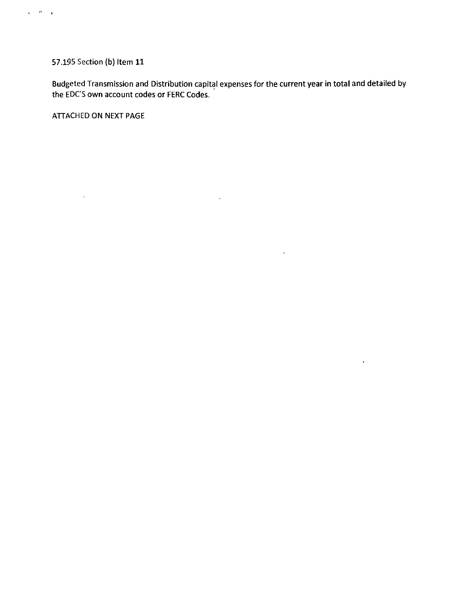# 57.195 Section (b) Item 11

 $\mathbf{r}=\mathbf{r}^{\prime}+\mathbf{r}$ 

Budgeted Transmission and Distribution capital expenses for the current year in total and detailed by the EDC'S own account codes or FERC Codes.

 $\mathcal{L}^{\text{max}}_{\text{max}}$  and  $\mathcal{L}^{\text{max}}_{\text{max}}$ 

 $\Delta \sim 10$ 

 $\sim 10^{-10}$ 

ATTACHED ON NEXT PAGE

 $\sim 400$  km s  $^{-1}$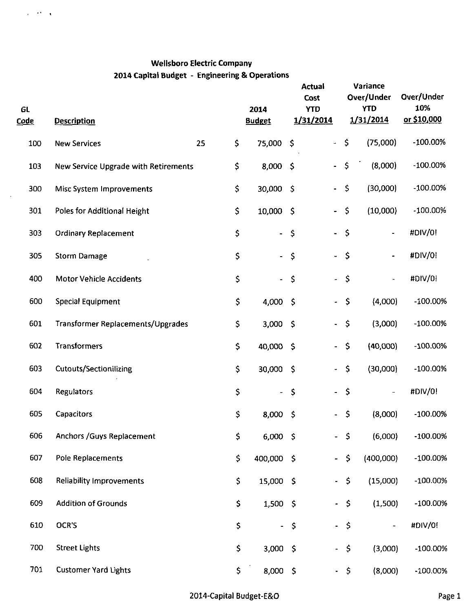$\alpha=0.000$ 

 $\bar{\mathcal{A}}$ 

| <b>GL</b><br>C <u>ode</u> | <b>Description</b>                          |          |                          |                 | 2014<br><b>Budget</b>    |                           | <b>Actual</b><br>Cost<br><b>YTD</b><br>1/31/2014 | Variance<br>Over/Under<br><b>YTD</b><br>1/31/2014 |  | Over/Under<br>10%<br>or \$10,000 |  |
|---------------------------|---------------------------------------------|----------|--------------------------|-----------------|--------------------------|---------------------------|--------------------------------------------------|---------------------------------------------------|--|----------------------------------|--|
| 100                       | <b>New Services</b>                         | \$<br>25 | 75,000                   | \$              | $\overline{\phantom{a}}$ | \$                        | (75,000)                                         | $-100.00\%$                                       |  |                                  |  |
| 103                       | <b>New Service Upgrade with Retirements</b> | \$       | 8,000                    | $\ddot{\theta}$ | $\blacksquare$           | $\mathsf{S}$              | (8,000)                                          | $-100.00\%$                                       |  |                                  |  |
| 300                       | Misc System Improvements                    | \$       | 30,000                   | -\$             | $\blacksquare$           | \$                        | (30,000)                                         | $-100.00\%$                                       |  |                                  |  |
| 301                       | Poles for Additional Height                 | \$       | 10,000                   | -S              | $\blacksquare$           | \$                        | (10,000)                                         | $-100.00\%$                                       |  |                                  |  |
| 303                       | <b>Ordinary Replacement</b>                 | \$       | $\overline{\phantom{a}}$ | \$              | $\blacksquare$           | $\boldsymbol{\mathsf{S}}$ |                                                  | #DIV/0!                                           |  |                                  |  |
| 305                       | <b>Storm Damage</b>                         | \$       | $\overline{\phantom{a}}$ | \$              | ÷.                       | $\boldsymbol{\zeta}$      |                                                  | #DIV/0!                                           |  |                                  |  |
| 400                       | <b>Motor Vehicle Accidents</b>              | \$       | $\blacksquare$           | \$              | $\overline{a}$           | $\mathsf{S}$              |                                                  | #DIV/0!                                           |  |                                  |  |
| 600                       | <b>Special Equipment</b>                    | \$       | 4,000                    | -\$             | ÷.                       | $\hat{\mathsf{S}}$        | (4,000)                                          | $-100.00\%$                                       |  |                                  |  |
| 601                       | <b>Transformer Replacements/Upgrades</b>    | \$       | $3,000$ \$               |                 | ÷                        | \$                        | (3,000)                                          | $-100.00\%$                                       |  |                                  |  |
| 602                       | <b>Transformers</b>                         | \$       | 40,000                   | -\$             | $\overline{\phantom{0}}$ | \$                        | (40,000)                                         | $-100.00\%$                                       |  |                                  |  |
| 603                       | <b>Cutouts/Sectionilizing</b>               | \$       | 30,000                   | -\$             | $\overline{\phantom{a}}$ | $\mathsf{S}$              | (30,000)                                         | $-100.00%$                                        |  |                                  |  |
| 604                       | Regulators                                  | \$       | $\overline{\phantom{a}}$ | \$              | $\blacksquare$           | \$                        |                                                  | #DIV/0!                                           |  |                                  |  |
| 605                       | <b>Capacitors</b>                           | \$       | 8,000                    | \$              |                          | \$                        | (8,000)                                          | $-100.00\%$                                       |  |                                  |  |
| 606                       | <b>Anchors / Guys Replacement</b>           | \$       | 6,000                    | - \$            | ÷.                       | $\hat{\mathcal{L}}$       | (6,000)                                          | $-100.00\%$                                       |  |                                  |  |
| 607                       | Pole Replacements                           | \$       | 400,000 \$               |                 | $\blacksquare$           | \$                        | (400,000)                                        | $-100.00\%$                                       |  |                                  |  |
| 608                       | <b>Reliability Improvements</b>             | \$       | 15,000 \$                |                 | $\frac{1}{2}$            | $\mathsf{S}$              | (15,000)                                         | $-100.00\%$                                       |  |                                  |  |
| 609                       | <b>Addition of Grounds</b>                  | \$       | 1,500 \$                 |                 | $\overline{\phantom{0}}$ | \$                        | (1,500)                                          | $-100.00\%$                                       |  |                                  |  |
| 610                       | OCR'S                                       | \$       | $\sim$ .                 | $\sqrt{5}$      | $\overline{\phantom{a}}$ | $\hat{z}$                 | $\overline{\phantom{a}}$                         | #DIV/0!                                           |  |                                  |  |
| 700                       | <b>Street Lights</b>                        | \$       | 3,000 \$                 |                 | $\blacksquare$           | \$                        | (3,000)                                          | $-100.00\%$                                       |  |                                  |  |
| 701                       | <b>Customer Yard Lights</b>                 | \$.      | 8,000 \$                 |                 |                          | $-5$                      | (8,000)                                          | $-100.00\%$                                       |  |                                  |  |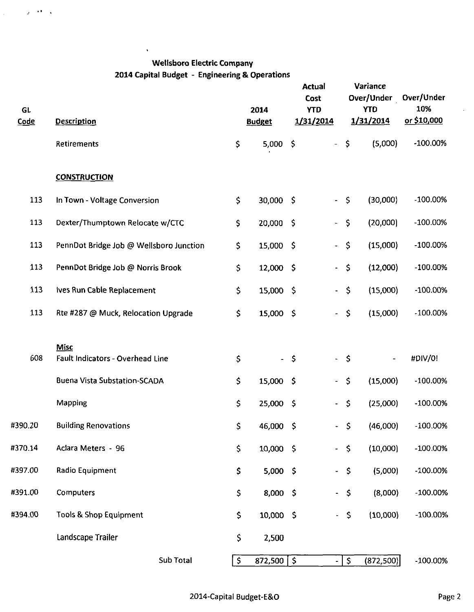$\bar{\mathbf{r}}$ 

 $\chi \rightarrow 0$  .  $\chi$ 

 $\mathcal{L}^{\text{eff}}$ 

| <b>GL</b><br><u>Code</u> | <b>Description</b>                       |     | 2014<br><b>Budget</b> | <b>Actual</b><br>Cost<br><b>YTD</b><br>1/31/2014 |                          |                     | Variance<br>Over/Under<br><b>YTD</b><br>1/31/2014 | Over/Under<br>10%<br>or \$10,000 |
|--------------------------|------------------------------------------|-----|-----------------------|--------------------------------------------------|--------------------------|---------------------|---------------------------------------------------|----------------------------------|
|                          | Retirements                              | \$  | 5,000                 | \$                                               | $\overline{\phantom{a}}$ | $\varsigma$         | (5,000)                                           | $-100.00\%$                      |
|                          | <b>CONSTRUCTION</b>                      |     |                       |                                                  |                          |                     |                                                   |                                  |
| 113                      | In Town - Voltage Conversion             | \$  | 30,000 \$             |                                                  |                          | $-5$                | (30,000)                                          | $-100.00\%$                      |
| 113                      | Dexter/Thumptown Relocate w/CTC          | \$  | 20,000 \$             |                                                  | $\blacksquare$           | $\varsigma$         | (20,000)                                          | $-100.00\%$                      |
| 113                      | PennDot Bridge Job @ Wellsboro Junction  | \$  | 15,000 \$             |                                                  | $\blacksquare$           | $\ddot{\mathsf{S}}$ | (15,000)                                          | $-100.00\%$                      |
| 113                      | PennDot Bridge Job @ Norris Brook        | \$  | 12,000 \$             |                                                  | $\blacksquare$           | $\varsigma$         | (12,000)                                          | $-100.00%$                       |
| 113                      | Ives Run Cable Replacement               | \$. | 15,000 \$             |                                                  | $\blacksquare$           | $\zeta$             | (15,000)                                          | -100.00%                         |
| 113                      | Rte #287 @ Muck, Relocation Upgrade      | \$  | 15,000 \$             |                                                  | $\overline{\phantom{a}}$ | $\mathsf{S}$        | (15,000)                                          | $-100.00\%$                      |
| 608                      | Misc<br>Fault Indicators - Overhead Line | \$  |                       | - \$                                             | $\blacksquare$           | $\mathsf{S}$        |                                                   | #DIV/0!                          |
|                          | <b>Buena Vista Substation-SCADA</b>      | \$  | 15,000 \$             |                                                  | $\overline{\phantom{a}}$ | $\varsigma$         | (15,000)                                          | $-100.00%$                       |
|                          | Mapping                                  | \$  | 25,000 \$             |                                                  | $\overline{\phantom{a}}$ | $\varsigma$         | (25,000)                                          | $-100.00%$                       |
| #390.20                  | <b>Building Renovations</b>              | \$  | 46,000                | - \$                                             | $\overline{\phantom{0}}$ | $\varsigma$         | (46,000)                                          | $-100.00%$                       |
| #370.14                  | Aclara Meters - 96                       | \$  | 10,000 \$             |                                                  | ۰.                       | \$                  | (10,000)                                          | $-100.00\%$                      |
| #397.00                  | Radio Equipment                          | \$  | $5,000$ \$            |                                                  | $\overline{\phantom{0}}$ | \$                  | (5,000)                                           | $-100.00%$                       |
| #391.00                  | Computers                                | \$  | $8,000$ \$            |                                                  | $\overline{\phantom{0}}$ | \$                  | (8,000)                                           | $-100.00\%$                      |
| #394.00                  | <b>Tools &amp; Shop Equipment</b>        | \$  | 10,000 \$             |                                                  | $\overline{\phantom{a}}$ | \$                  | (10,000)                                          | $-100.00\%$                      |
|                          | Landscape Trailer                        | \$  | 2,500                 |                                                  |                          |                     |                                                   |                                  |
|                          | Sub Total                                | \$  | $872,500$   \$        |                                                  |                          | -   \$              | (872, 500)                                        | $-100.00\%$                      |

 $\ddot{\phantom{0}}$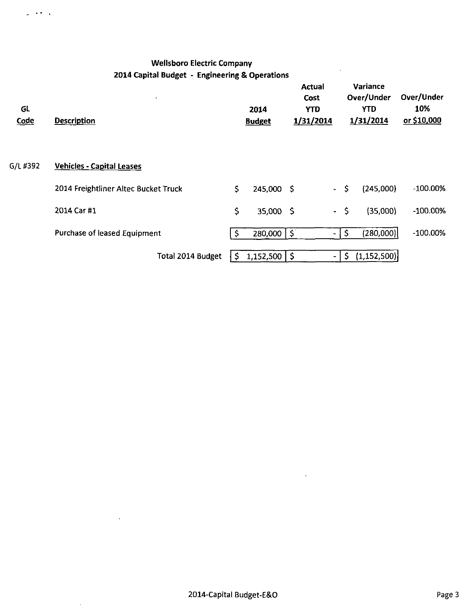$\omega$  , where  $\omega$ 

| GL<br><b>Code</b> | $\bullet$<br><b>Description</b>      |    | 2014<br><b>Budget</b>     | <b>Actual</b><br>Cost<br><b>YTD</b><br>1/31/2014 |              | Variance<br>Over/Under<br><b>YTD</b><br>1/31/2014 | Over/Under<br>10%<br>or \$10,000 |
|-------------------|--------------------------------------|----|---------------------------|--------------------------------------------------|--------------|---------------------------------------------------|----------------------------------|
| G/L #392          | <b>Vehicles - Capital Leases</b>     |    |                           |                                                  |              |                                                   |                                  |
|                   | 2014 Freightliner Altec Bucket Truck | \$ | 245,000 \$                | $\bullet$                                        | \$.          | (245,000)                                         | $-100.00\%$                      |
|                   | 2014 Car #1                          | \$ | 35,000 \$                 |                                                  | $-5$         | (35,000)                                          | $-100.00\%$                      |
|                   | Purchase of leased Equipment         | S  | $\overline{280,000}$ \ \$ | ٠                                                | $\mathsf{S}$ | (280,000)                                         | $-100.00\%$                      |
|                   | <b>Total 2014 Budget</b>             | \$ | $1,152,500$   \$          | $\overline{\phantom{a}}$                         |              | $\mathsf{S}$<br>(1,152,500)                       |                                  |

 $\bar{\beta}$ 

 $\mathcal{A}$ 

 $\bar{z}$ 

 $\overline{a}$